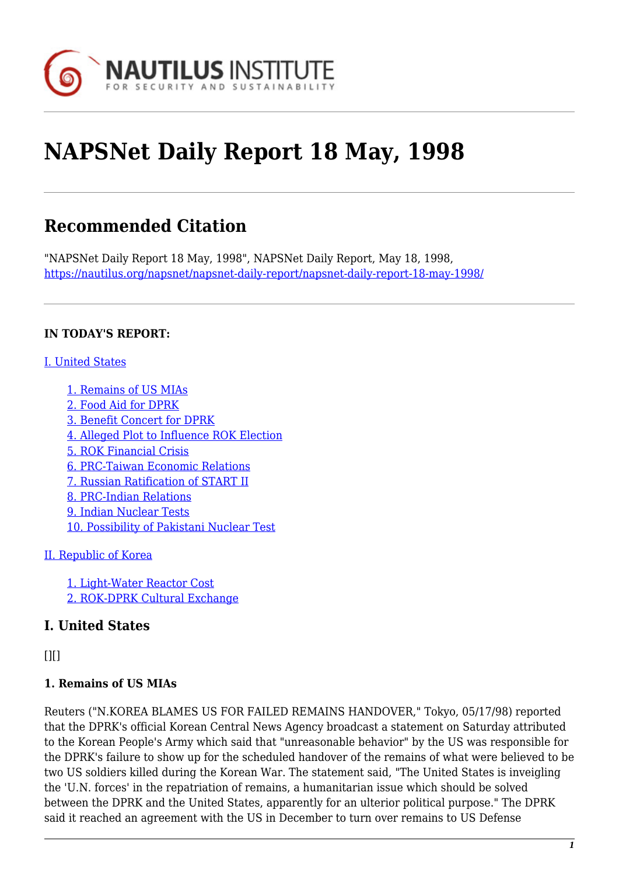

# **NAPSNet Daily Report 18 May, 1998**

## **Recommended Citation**

"NAPSNet Daily Report 18 May, 1998", NAPSNet Daily Report, May 18, 1998, <https://nautilus.org/napsnet/napsnet-daily-report/napsnet-daily-report-18-may-1998/>

#### **IN TODAY'S REPORT:**

#### [I. United States](#page--1-0)

- [1. Remains of US MIAs](#page-0-0)
- [2. Food Aid for DPRK](#page-1-0)
- [3. Benefit Concert for DPRK](#page-1-1)
- [4. Alleged Plot to Influence ROK Election](#page-1-2)
- [5. ROK Financial Crisis](#page-1-3)
- [6. PRC-Taiwan Economic Relations](#page-1-4)
- [7. Russian Ratification of START II](#page-2-0)
- [8. PRC-Indian Relations](#page-2-1)
- [9. Indian Nuclear Tests](#page-2-2)
- [10. Possibility of Pakistani Nuclear Test](#page-3-0)

#### [II. Republic of Korea](#page-3-1)

[1. Light-Water Reactor Cost](#page-3-2) [2. ROK-DPRK Cultural Exchange](#page-4-0)

## **I. United States**

<span id="page-0-0"></span> $[$ [ $]$  $[$  $]$  $[$  $]$  $[$  $]$  $[$  $]$  $[$  $]$  $[$  $]$  $[$  $]$  $[$  $]$  $[$  $]$  $[$  $]$  $[$  $]$  $[$  $]$  $[$  $]$  $[$  $]$  $[$  $]$  $[$  $]$  $[$  $]$  $[$  $]$  $[$  $]$  $[$  $]$  $[$  $]$  $[$  $]$  $[$  $]$  $[$  $]$  $[$  $]$  $[$  $]$  $[$  $]$  $[$  $]$  $[$  $]$  $[$  $]$  $[$  $]$  $[$  $]$  $[$  $]$  $[$  $]$  $[$  $]$  $[$ 

#### **1. Remains of US MIAs**

Reuters ("N.KOREA BLAMES US FOR FAILED REMAINS HANDOVER," Tokyo, 05/17/98) reported that the DPRK's official Korean Central News Agency broadcast a statement on Saturday attributed to the Korean People's Army which said that "unreasonable behavior" by the US was responsible for the DPRK's failure to show up for the scheduled handover of the remains of what were believed to be two US soldiers killed during the Korean War. The statement said, "The United States is inveigling the 'U.N. forces' in the repatriation of remains, a humanitarian issue which should be solved between the DPRK and the United States, apparently for an ulterior political purpose." The DPRK said it reached an agreement with the US in December to turn over remains to US Defense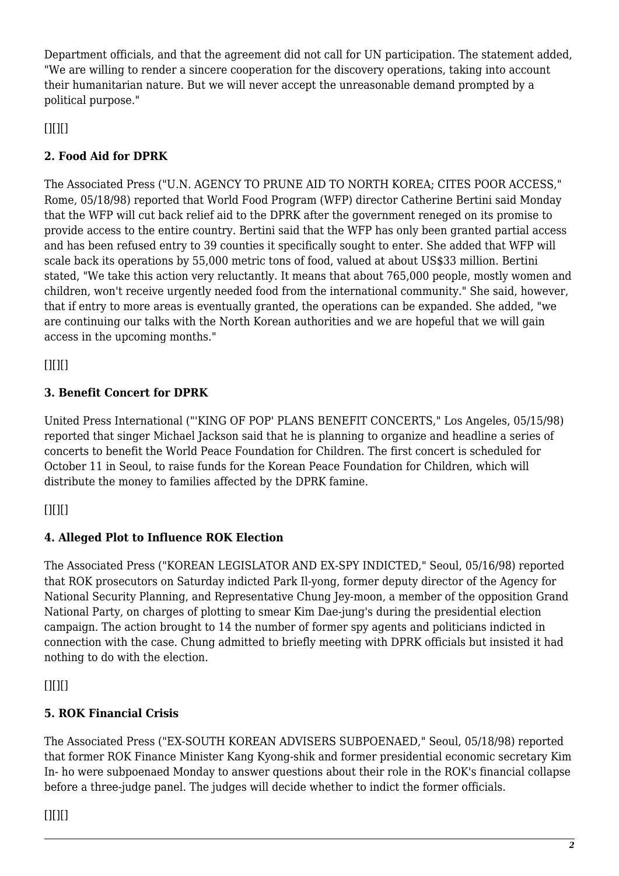Department officials, and that the agreement did not call for UN participation. The statement added, "We are willing to render a sincere cooperation for the discovery operations, taking into account their humanitarian nature. But we will never accept the unreasonable demand prompted by a political purpose."

<span id="page-1-0"></span> $[$ [ $]$  $[$  $]$  $[$  $]$  $[$  $]$  $[$  $]$  $[$  $]$  $[$  $]$  $[$  $]$  $[$  $]$  $[$  $]$  $[$  $]$  $[$  $]$  $[$  $]$  $[$  $]$  $[$  $]$  $[$  $]$  $[$  $]$  $[$  $]$  $[$  $]$  $[$  $]$  $[$  $]$  $[$  $]$  $[$  $]$  $[$  $]$  $[$  $]$  $[$  $]$  $[$  $]$  $[$  $]$  $[$  $]$  $[$  $]$  $[$  $]$  $[$  $]$  $[$  $]$  $[$  $]$  $[$  $]$  $[$  $]$  $[$ 

## **2. Food Aid for DPRK**

The Associated Press ("U.N. AGENCY TO PRUNE AID TO NORTH KOREA; CITES POOR ACCESS," Rome, 05/18/98) reported that World Food Program (WFP) director Catherine Bertini said Monday that the WFP will cut back relief aid to the DPRK after the government reneged on its promise to provide access to the entire country. Bertini said that the WFP has only been granted partial access and has been refused entry to 39 counties it specifically sought to enter. She added that WFP will scale back its operations by 55,000 metric tons of food, valued at about US\$33 million. Bertini stated, "We take this action very reluctantly. It means that about 765,000 people, mostly women and children, won't receive urgently needed food from the international community." She said, however, that if entry to more areas is eventually granted, the operations can be expanded. She added, "we are continuing our talks with the North Korean authorities and we are hopeful that we will gain access in the upcoming months."

<span id="page-1-1"></span> $[$ [ $]$  $[$  $]$  $[$  $]$  $[$  $]$  $[$  $]$  $[$  $]$  $[$  $]$  $[$  $]$  $[$  $]$  $[$  $]$  $[$  $]$  $[$  $]$  $[$  $]$  $[$  $]$  $[$  $]$  $[$  $]$  $[$  $]$  $[$  $]$  $[$  $]$  $[$  $]$  $[$  $]$  $[$  $]$  $[$  $]$  $[$  $]$  $[$  $]$  $[$  $]$  $[$  $]$  $[$  $]$  $[$  $]$  $[$  $]$  $[$  $]$  $[$  $]$  $[$  $]$  $[$  $]$  $[$  $]$  $[$  $]$  $[$ 

## **3. Benefit Concert for DPRK**

United Press International ("'KING OF POP' PLANS BENEFIT CONCERTS," Los Angeles, 05/15/98) reported that singer Michael Jackson said that he is planning to organize and headline a series of concerts to benefit the World Peace Foundation for Children. The first concert is scheduled for October 11 in Seoul, to raise funds for the Korean Peace Foundation for Children, which will distribute the money to families affected by the DPRK famine.

<span id="page-1-2"></span> $[$ [ $]$  $[$  $]$  $[$  $]$  $[$  $]$  $[$  $]$  $[$  $]$  $[$  $]$  $[$  $]$  $[$  $]$  $[$  $]$  $[$  $]$  $[$  $]$  $[$  $]$  $[$  $]$  $[$  $]$  $[$  $]$  $[$  $]$  $[$  $]$  $[$  $]$  $[$  $]$  $[$  $]$  $[$  $]$  $[$  $]$  $[$  $]$  $[$  $]$  $[$  $]$  $[$  $]$  $[$  $]$  $[$  $]$  $[$  $]$  $[$  $]$  $[$  $]$  $[$  $]$  $[$  $]$  $[$  $]$  $[$  $]$  $[$ 

## **4. Alleged Plot to Influence ROK Election**

The Associated Press ("KOREAN LEGISLATOR AND EX-SPY INDICTED," Seoul, 05/16/98) reported that ROK prosecutors on Saturday indicted Park Il-yong, former deputy director of the Agency for National Security Planning, and Representative Chung Jey-moon, a member of the opposition Grand National Party, on charges of plotting to smear Kim Dae-jung's during the presidential election campaign. The action brought to 14 the number of former spy agents and politicians indicted in connection with the case. Chung admitted to briefly meeting with DPRK officials but insisted it had nothing to do with the election.

<span id="page-1-3"></span> $[$ [ $]$  $[$  $]$  $[$  $]$  $[$  $]$  $[$  $]$  $[$  $]$  $[$  $]$  $[$  $]$  $[$  $]$  $[$  $]$  $[$  $]$  $[$  $]$  $[$  $]$  $[$  $]$  $[$  $]$  $[$  $]$  $[$  $]$  $[$  $]$  $[$  $]$  $[$  $]$  $[$  $]$  $[$  $]$  $[$  $]$  $[$  $]$  $[$  $]$  $[$  $]$  $[$  $]$  $[$  $]$  $[$  $]$  $[$  $]$  $[$  $]$  $[$  $]$  $[$  $]$  $[$  $]$  $[$  $]$  $[$  $]$  $[$ 

## **5. ROK Financial Crisis**

<span id="page-1-4"></span>The Associated Press ("EX-SOUTH KOREAN ADVISERS SUBPOENAED," Seoul, 05/18/98) reported that former ROK Finance Minister Kang Kyong-shik and former presidential economic secretary Kim In- ho were subpoenaed Monday to answer questions about their role in the ROK's financial collapse before a three-judge panel. The judges will decide whether to indict the former officials.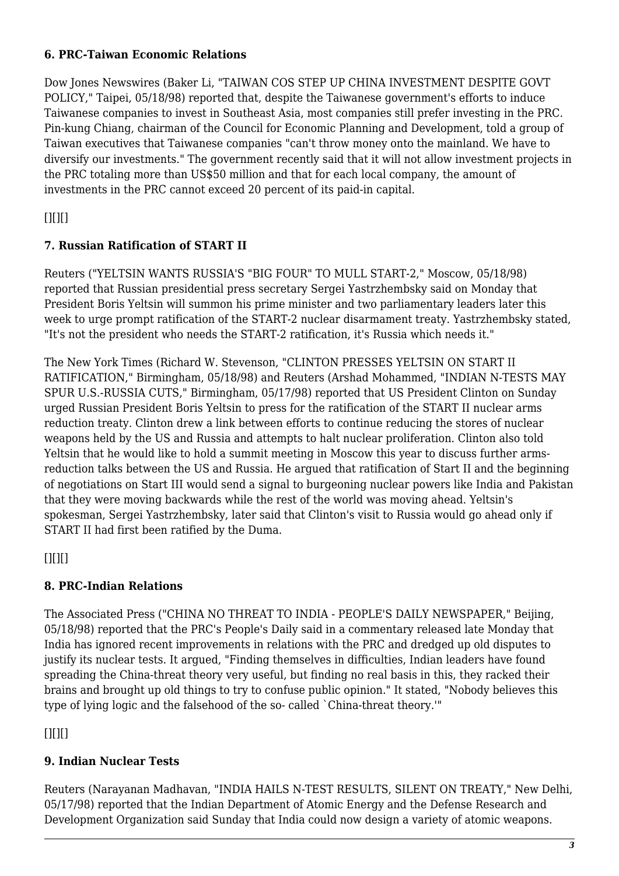#### **6. PRC-Taiwan Economic Relations**

Dow Jones Newswires (Baker Li, "TAIWAN COS STEP UP CHINA INVESTMENT DESPITE GOVT POLICY," Taipei, 05/18/98) reported that, despite the Taiwanese government's efforts to induce Taiwanese companies to invest in Southeast Asia, most companies still prefer investing in the PRC. Pin-kung Chiang, chairman of the Council for Economic Planning and Development, told a group of Taiwan executives that Taiwanese companies "can't throw money onto the mainland. We have to diversify our investments." The government recently said that it will not allow investment projects in the PRC totaling more than US\$50 million and that for each local company, the amount of investments in the PRC cannot exceed 20 percent of its paid-in capital.

<span id="page-2-0"></span> $[$ [ $]$  $[$  $]$  $[$  $]$  $[$  $]$  $[$  $]$  $[$  $]$  $[$  $]$  $[$  $]$  $[$  $]$  $[$  $]$  $[$  $]$  $[$  $]$  $[$  $]$  $[$  $]$  $[$  $]$  $[$  $]$  $[$  $]$  $[$  $]$  $[$  $]$  $[$  $]$  $[$  $]$  $[$  $]$  $[$  $]$  $[$  $]$  $[$  $]$  $[$  $]$  $[$  $]$  $[$  $]$  $[$  $]$  $[$  $]$  $[$  $]$  $[$  $]$  $[$  $]$  $[$  $]$  $[$  $]$  $[$  $]$  $[$ 

## **7. Russian Ratification of START II**

Reuters ("YELTSIN WANTS RUSSIA'S "BIG FOUR" TO MULL START-2," Moscow, 05/18/98) reported that Russian presidential press secretary Sergei Yastrzhembsky said on Monday that President Boris Yeltsin will summon his prime minister and two parliamentary leaders later this week to urge prompt ratification of the START-2 nuclear disarmament treaty. Yastrzhembsky stated, "It's not the president who needs the START-2 ratification, it's Russia which needs it."

The New York Times (Richard W. Stevenson, "CLINTON PRESSES YELTSIN ON START II RATIFICATION," Birmingham, 05/18/98) and Reuters (Arshad Mohammed, "INDIAN N-TESTS MAY SPUR U.S.-RUSSIA CUTS," Birmingham, 05/17/98) reported that US President Clinton on Sunday urged Russian President Boris Yeltsin to press for the ratification of the START II nuclear arms reduction treaty. Clinton drew a link between efforts to continue reducing the stores of nuclear weapons held by the US and Russia and attempts to halt nuclear proliferation. Clinton also told Yeltsin that he would like to hold a summit meeting in Moscow this year to discuss further armsreduction talks between the US and Russia. He argued that ratification of Start II and the beginning of negotiations on Start III would send a signal to burgeoning nuclear powers like India and Pakistan that they were moving backwards while the rest of the world was moving ahead. Yeltsin's spokesman, Sergei Yastrzhembsky, later said that Clinton's visit to Russia would go ahead only if START II had first been ratified by the Duma.

<span id="page-2-1"></span> $[$ [ $]$  $[$  $]$  $[$  $]$  $[$  $]$  $[$  $]$  $[$  $]$  $[$  $]$  $[$  $]$  $[$  $]$  $[$  $]$  $[$  $]$  $[$  $]$  $[$  $]$  $[$  $]$  $[$  $]$  $[$  $]$  $[$  $]$  $[$  $]$  $[$  $]$  $[$  $]$  $[$  $]$  $[$  $]$  $[$  $]$  $[$  $]$  $[$  $]$  $[$  $]$  $[$  $]$  $[$  $]$  $[$  $]$  $[$  $]$  $[$  $]$  $[$  $]$  $[$  $]$  $[$  $]$  $[$  $]$  $[$  $]$  $[$ 

## **8. PRC-Indian Relations**

The Associated Press ("CHINA NO THREAT TO INDIA - PEOPLE'S DAILY NEWSPAPER," Beijing, 05/18/98) reported that the PRC's People's Daily said in a commentary released late Monday that India has ignored recent improvements in relations with the PRC and dredged up old disputes to justify its nuclear tests. It argued, "Finding themselves in difficulties, Indian leaders have found spreading the China-threat theory very useful, but finding no real basis in this, they racked their brains and brought up old things to try to confuse public opinion." It stated, "Nobody believes this type of lying logic and the falsehood of the so- called `China-threat theory.'"

<span id="page-2-2"></span> $[$ [ $]$  $[$  $]$  $[$  $]$  $[$  $]$  $[$  $]$  $[$  $]$  $[$  $]$  $[$  $]$  $[$  $]$  $[$  $]$  $[$  $]$  $[$  $]$  $[$  $]$  $[$  $]$  $[$  $]$  $[$  $]$  $[$  $]$  $[$  $]$  $[$  $]$  $[$  $]$  $[$  $]$  $[$  $]$  $[$  $]$  $[$  $]$  $[$  $]$  $[$  $]$  $[$  $]$  $[$  $]$  $[$  $]$  $[$  $]$  $[$  $]$  $[$  $]$  $[$  $]$  $[$  $]$  $[$  $]$  $[$  $]$  $[$ 

## **9. Indian Nuclear Tests**

Reuters (Narayanan Madhavan, "INDIA HAILS N-TEST RESULTS, SILENT ON TREATY," New Delhi, 05/17/98) reported that the Indian Department of Atomic Energy and the Defense Research and Development Organization said Sunday that India could now design a variety of atomic weapons.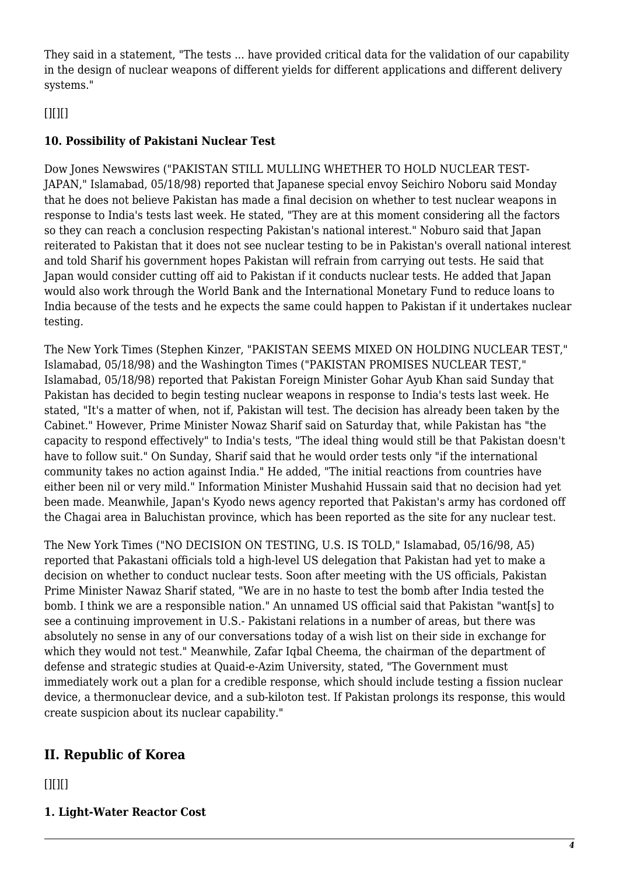They said in a statement, "The tests ... have provided critical data for the validation of our capability in the design of nuclear weapons of different yields for different applications and different delivery systems."

## <span id="page-3-0"></span> $[$ [ $]$  $[$  $]$  $[$  $]$  $[$  $]$  $[$  $]$  $[$  $]$  $[$  $]$  $[$  $]$  $[$  $]$  $[$  $]$  $[$  $]$  $[$  $]$  $[$  $]$  $[$  $]$  $[$  $]$  $[$  $]$  $[$  $]$  $[$  $]$  $[$  $]$  $[$  $]$  $[$  $]$  $[$  $]$  $[$  $]$  $[$  $]$  $[$  $]$  $[$  $]$  $[$  $]$  $[$  $]$  $[$  $]$  $[$  $]$  $[$  $]$  $[$  $]$  $[$  $]$  $[$  $]$  $[$  $]$  $[$  $]$  $[$

### **10. Possibility of Pakistani Nuclear Test**

Dow Jones Newswires ("PAKISTAN STILL MULLING WHETHER TO HOLD NUCLEAR TEST-JAPAN," Islamabad, 05/18/98) reported that Japanese special envoy Seichiro Noboru said Monday that he does not believe Pakistan has made a final decision on whether to test nuclear weapons in response to India's tests last week. He stated, "They are at this moment considering all the factors so they can reach a conclusion respecting Pakistan's national interest." Noburo said that Japan reiterated to Pakistan that it does not see nuclear testing to be in Pakistan's overall national interest and told Sharif his government hopes Pakistan will refrain from carrying out tests. He said that Japan would consider cutting off aid to Pakistan if it conducts nuclear tests. He added that Japan would also work through the World Bank and the International Monetary Fund to reduce loans to India because of the tests and he expects the same could happen to Pakistan if it undertakes nuclear testing.

The New York Times (Stephen Kinzer, "PAKISTAN SEEMS MIXED ON HOLDING NUCLEAR TEST," Islamabad, 05/18/98) and the Washington Times ("PAKISTAN PROMISES NUCLEAR TEST," Islamabad, 05/18/98) reported that Pakistan Foreign Minister Gohar Ayub Khan said Sunday that Pakistan has decided to begin testing nuclear weapons in response to India's tests last week. He stated, "It's a matter of when, not if, Pakistan will test. The decision has already been taken by the Cabinet." However, Prime Minister Nowaz Sharif said on Saturday that, while Pakistan has "the capacity to respond effectively" to India's tests, "The ideal thing would still be that Pakistan doesn't have to follow suit." On Sunday, Sharif said that he would order tests only "if the international community takes no action against India." He added, "The initial reactions from countries have either been nil or very mild." Information Minister Mushahid Hussain said that no decision had yet been made. Meanwhile, Japan's Kyodo news agency reported that Pakistan's army has cordoned off the Chagai area in Baluchistan province, which has been reported as the site for any nuclear test.

The New York Times ("NO DECISION ON TESTING, U.S. IS TOLD," Islamabad, 05/16/98, A5) reported that Pakastani officials told a high-level US delegation that Pakistan had yet to make a decision on whether to conduct nuclear tests. Soon after meeting with the US officials, Pakistan Prime Minister Nawaz Sharif stated, "We are in no haste to test the bomb after India tested the bomb. I think we are a responsible nation." An unnamed US official said that Pakistan "want[s] to see a continuing improvement in U.S.- Pakistani relations in a number of areas, but there was absolutely no sense in any of our conversations today of a wish list on their side in exchange for which they would not test." Meanwhile, Zafar Iqbal Cheema, the chairman of the department of defense and strategic studies at Quaid-e-Azim University, stated, "The Government must immediately work out a plan for a credible response, which should include testing a fission nuclear device, a thermonuclear device, and a sub-kiloton test. If Pakistan prolongs its response, this would create suspicion about its nuclear capability."

## <span id="page-3-1"></span>**II. Republic of Korea**

<span id="page-3-2"></span> $[$ [ $]$  $[$  $]$  $[$  $]$  $[$  $]$  $[$  $]$  $[$  $]$  $[$  $]$  $[$  $]$  $[$  $]$  $[$  $]$  $[$  $]$  $[$  $]$  $[$  $]$  $[$  $]$  $[$  $]$  $[$  $]$  $[$  $]$  $[$  $]$  $[$  $]$  $[$  $]$  $[$  $]$  $[$  $]$  $[$  $]$  $[$  $]$  $[$  $]$  $[$  $]$  $[$  $]$  $[$  $]$  $[$  $]$  $[$  $]$  $[$  $]$  $[$  $]$  $[$  $]$  $[$  $]$  $[$  $]$  $[$  $]$  $[$ 

**1. Light-Water Reactor Cost**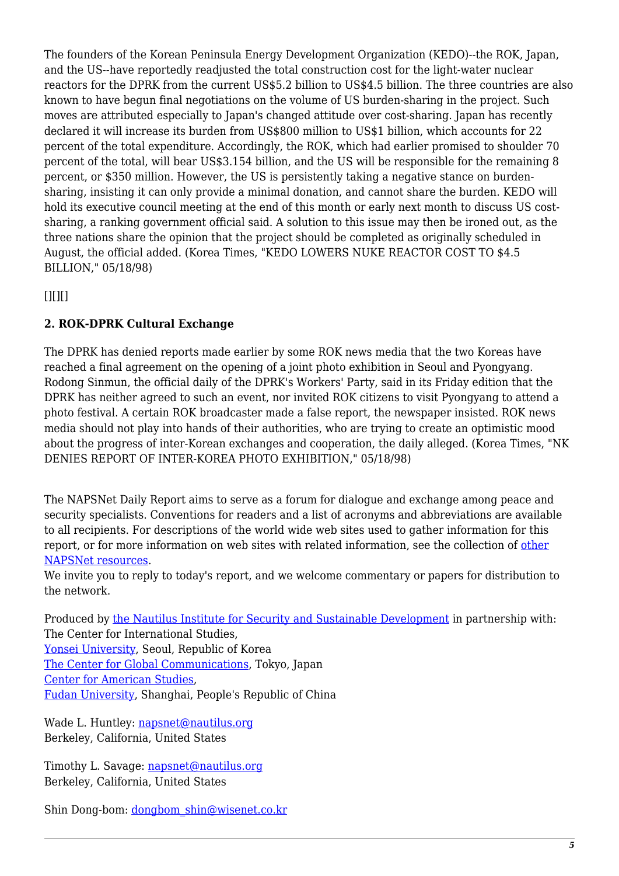The founders of the Korean Peninsula Energy Development Organization (KEDO)--the ROK, Japan, and the US--have reportedly readjusted the total construction cost for the light-water nuclear reactors for the DPRK from the current US\$5.2 billion to US\$4.5 billion. The three countries are also known to have begun final negotiations on the volume of US burden-sharing in the project. Such moves are attributed especially to Japan's changed attitude over cost-sharing. Japan has recently declared it will increase its burden from US\$800 million to US\$1 billion, which accounts for 22 percent of the total expenditure. Accordingly, the ROK, which had earlier promised to shoulder 70 percent of the total, will bear US\$3.154 billion, and the US will be responsible for the remaining 8 percent, or \$350 million. However, the US is persistently taking a negative stance on burdensharing, insisting it can only provide a minimal donation, and cannot share the burden. KEDO will hold its executive council meeting at the end of this month or early next month to discuss US costsharing, a ranking government official said. A solution to this issue may then be ironed out, as the three nations share the opinion that the project should be completed as originally scheduled in August, the official added. (Korea Times, "KEDO LOWERS NUKE REACTOR COST TO \$4.5 BILLION," 05/18/98)

<span id="page-4-0"></span> $[$ [ $]$  $[$  $]$  $[$  $]$  $[$  $]$  $[$  $]$  $[$  $]$  $[$  $]$  $[$  $]$  $[$  $]$  $[$  $]$  $[$  $]$  $[$  $]$  $[$  $]$  $[$  $]$  $[$  $]$  $[$  $]$  $[$  $]$  $[$  $]$  $[$  $]$  $[$  $]$  $[$  $]$  $[$  $]$  $[$  $]$  $[$  $]$  $[$  $]$  $[$  $]$  $[$  $]$  $[$  $]$  $[$  $]$  $[$  $]$  $[$  $]$  $[$  $]$  $[$  $]$  $[$  $]$  $[$  $]$  $[$  $]$  $[$ 

## **2. ROK-DPRK Cultural Exchange**

The DPRK has denied reports made earlier by some ROK news media that the two Koreas have reached a final agreement on the opening of a joint photo exhibition in Seoul and Pyongyang. Rodong Sinmun, the official daily of the DPRK's Workers' Party, said in its Friday edition that the DPRK has neither agreed to such an event, nor invited ROK citizens to visit Pyongyang to attend a photo festival. A certain ROK broadcaster made a false report, the newspaper insisted. ROK news media should not play into hands of their authorities, who are trying to create an optimistic mood about the progress of inter-Korean exchanges and cooperation, the daily alleged. (Korea Times, "NK DENIES REPORT OF INTER-KOREA PHOTO EXHIBITION," 05/18/98)

The NAPSNet Daily Report aims to serve as a forum for dialogue and exchange among peace and security specialists. Conventions for readers and a list of acronyms and abbreviations are available to all recipients. For descriptions of the world wide web sites used to gather information for this report, or for more information on web sites with related information, see the collection of [other](http://www.nautilus.org/napsnet/resources.html) [NAPSNet resources.](http://www.nautilus.org/napsnet/resources.html)

We invite you to reply to today's report, and we welcome commentary or papers for distribution to the network.

Produced by [the Nautilus Institute for Security and Sustainable Development](http://www.nautilus.org/morenaut.html) in partnership with: The Center for International Studies, [Yonsei University](http://www.yonsei.ac.kr/Eng/index.html), Seoul, Republic of Korea [The Center for Global Communications](http://aska.glocom.ac.jp/default.e.html), Tokyo, Japan [Center for American Studies](http://www.fudan.sh.cn/english/lab/ame_res/ame_res.htm), [Fudan University](http://www.fudan.sh.cn/index.html), Shanghai, People's Republic of China

Wade L. Huntley: [napsnet@nautilus.org](mailto:napsnet@nautilus.org) Berkeley, California, United States

Timothy L. Savage: [napsnet@nautilus.org](mailto:napsnet@nautilus.org) Berkeley, California, United States

Shin Dong-bom: [dongbom\\_shin@wisenet.co.kr](mailto:dongbom_shin@wisenet.co.kr)